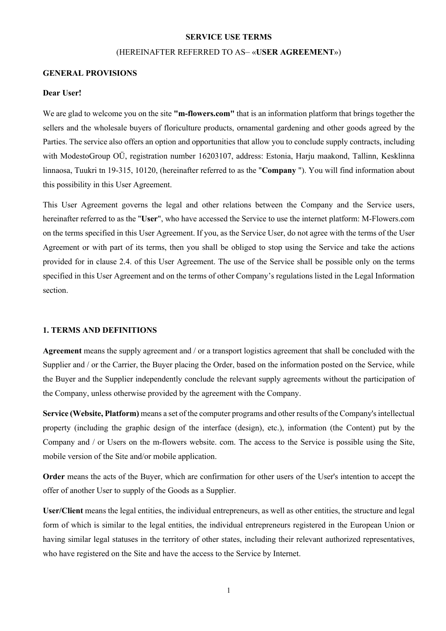#### **SERVICE USE TERMS**

# (HEREINAFTER REFERRED TO AS– «**USER AGREEMENT**»)

#### **GENERAL PROVISIONS**

#### **Dear User!**

We are glad to welcome you on the site **"m-flowers.com"** that is an information platform that brings together the sellers and the wholesale buyers of floriculture products, ornamental gardening and other goods agreed by the Parties. The service also offers an option and opportunities that allow you to conclude supply contracts, including with ModestoGroup OÜ, registration number 16203107, address: Estonia, Harju maakond, Tallinn, Kesklinna linnaosa, Tuukri tn 19-315, 10120, (hereinafter referred to as the "**Company** "). You will find information about this possibility in this User Agreement.

This User Agreement governs the legal and other relations between the Company and the Service users, hereinafter referred to as the "**User**", who have accessed the Service to use the internet platform: M-Flowers.com on the terms specified in this User Agreement. If you, as the Service User, do not agree with the terms of the User Agreement or with part of its terms, then you shall be obliged to stop using the Service and take the actions provided for in clause 2.4. of this User Agreement. The use of the Service shall be possible only on the terms specified in this User Agreement and on the terms of other Company's regulations listed in the Legal Information section.

#### **1. TERMS AND DEFINITIONS**

**Agreement** means the supply agreement and / or a transport logistics agreement that shall be concluded with the Supplier and / or the Carrier, the Buyer placing the Order, based on the information posted on the Service, while the Buyer and the Supplier independently conclude the relevant supply agreements without the participation of the Company, unless otherwise provided by the agreement with the Company.

**Service (Website, Platform)** means a set of the computer programs and other results of the Company's intellectual property (including the graphic design of the interface (design), etc.), information (the Content) put by the Company and / or Users on the m-flowers website. com. The access to the Service is possible using the Site, mobile version of the Site and/or mobile application.

**Order** means the acts of the Buyer, which are confirmation for other users of the User's intention to accept the offer of another User to supply of the Goods as a Supplier.

**User/Client** means the legal entities, the individual entrepreneurs, as well as other entities, the structure and legal form of which is similar to the legal entities, the individual entrepreneurs registered in the European Union or having similar legal statuses in the territory of other states, including their relevant authorized representatives, who have registered on the Site and have the access to the Service by Internet.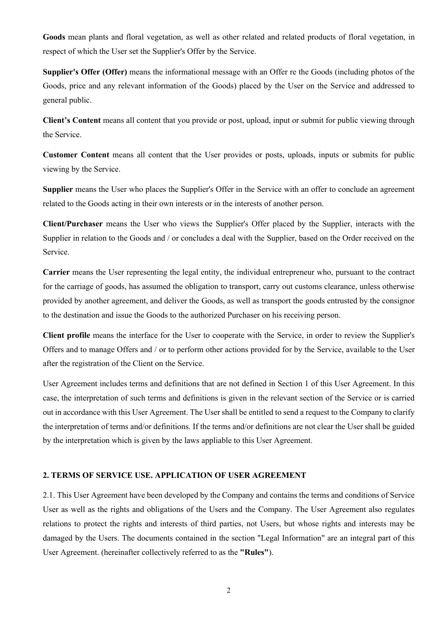**Goods** mean plants and floral vegetation, as well as other related and related products of floral vegetation, in respect of which the User set the Supplier's Offer by the Service.

**Supplier's Offer (Offer)** means the informational message with an Offer re the Goods (including photos of the Goods, price and any relevant information of the Goods) placed by the User on the Service and addressed to general public.

**Client's Content** means all content that you provide or post, upload, input or submit for public viewing through the Service.

**Customer Content** means all content that the User provides or posts, uploads, inputs or submits for public viewing by the Service.

**Supplier** means the User who places the Supplier's Offer in the Service with an offer to conclude an agreement related to the Goods acting in their own interests or in the interests of another person.

**Client/Purchaser** means the User who views the Supplier's Offer placed by the Supplier, interacts with the Supplier in relation to the Goods and / or concludes a deal with the Supplier, based on the Order received on the Service.

**Carrier** means the User representing the legal entity, the individual entrepreneur who, pursuant to the contract for the carriage of goods, has assumed the obligation to transport, carry out customs clearance, unless otherwise provided by another agreement, and deliver the Goods, as well as transport the goods entrusted by the consignor to the destination and issue the Goods to the authorized Purchaser on his receiving person.

**Client profile** means the interface for the User to cooperate with the Service, in order to review the Supplier's Offers and to manage Offers and / or to perform other actions provided for by the Service, available to the User after the registration of the Client on the Service.

User Agreement includes terms and definitions that are not defined in Section 1 of this User Agreement. In this case, the interpretation of such terms and definitions is given in the relevant section of the Service or is carried out in accordance with this User Agreement. The User shall be entitled to send a request to the Company to clarify the interpretation of terms and/or definitions. If the terms and/or definitions are not clear the User shall be guided by the interpretation which is given by the laws appliable to this User Agreement.

## **2. TERMS OF SERVICE USE. APPLICATION OF USER AGREEMENT**

2.1. This User Agreement have been developed by the Company and contains the terms and conditions of Service User as well as the rights and obligations of the Users and the Company. The User Agreement also regulates relations to protect the rights and interests of third parties, not Users, but whose rights and interests may be damaged by the Users. The documents contained in the section "Legal Information" are an integral part of this User Agreement. (hereinafter collectively referred to as the **"Rules"**).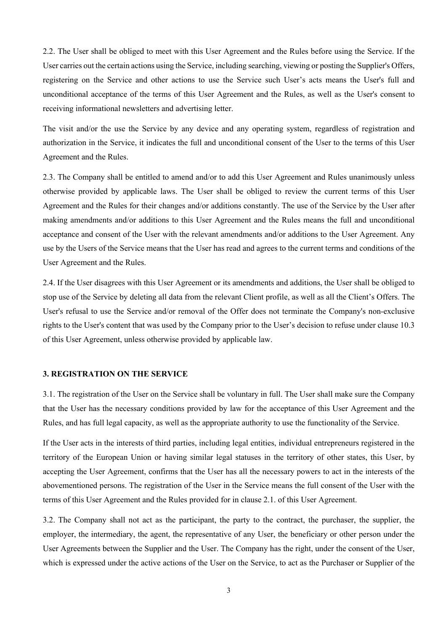2.2. The User shall be obliged to meet with this User Agreement and the Rules before using the Service. If the User carries out the certain actions using the Service, including searching, viewing or posting the Supplier's Offers, registering on the Service and other actions to use the Service such User's acts means the User's full and unconditional acceptance of the terms of this User Agreement and the Rules, as well as the User's consent to receiving informational newsletters and advertising letter.

The visit and/or the use the Service by any device and any operating system, regardless of registration and authorization in the Service, it indicates the full and unconditional consent of the User to the terms of this User Agreement and the Rules.

2.3. The Company shall be entitled to amend and/or to add this User Agreement and Rules unanimously unless otherwise provided by applicable laws. The User shall be obliged to review the current terms of this User Agreement and the Rules for their changes and/or additions constantly. The use of the Service by the User after making amendments and/or additions to this User Agreement and the Rules means the full and unconditional acceptance and consent of the User with the relevant amendments and/or additions to the User Agreement. Any use by the Users of the Service means that the User has read and agrees to the current terms and conditions of the User Agreement and the Rules.

2.4. If the User disagrees with this User Agreement or its amendments and additions, the User shall be obliged to stop use of the Service by deleting all data from the relevant Client profile, as well as all the Client's Offers. The User's refusal to use the Service and/or removal of the Offer does not terminate the Company's non-exclusive rights to the User's content that was used by the Company prior to the User's decision to refuse under clause 10.3 of this User Agreement, unless otherwise provided by applicable law.

#### **3. REGISTRATION ON THE SERVICE**

3.1. The registration of the User on the Service shall be voluntary in full. The User shall make sure the Company that the User has the necessary conditions provided by law for the acceptance of this User Agreement and the Rules, and has full legal capacity, as well as the appropriate authority to use the functionality of the Service.

If the User acts in the interests of third parties, including legal entities, individual entrepreneurs registered in the territory of the European Union or having similar legal statuses in the territory of other states, this User, by accepting the User Agreement, confirms that the User has all the necessary powers to act in the interests of the abovementioned persons. The registration of the User in the Service means the full consent of the User with the terms of this User Agreement and the Rules provided for in clause 2.1. of this User Agreement.

3.2. The Company shall not act as the participant, the party to the contract, the purchaser, the supplier, the employer, the intermediary, the agent, the representative of any User, the beneficiary or other person under the User Agreements between the Supplier and the User. The Company has the right, under the consent of the User, which is expressed under the active actions of the User on the Service, to act as the Purchaser or Supplier of the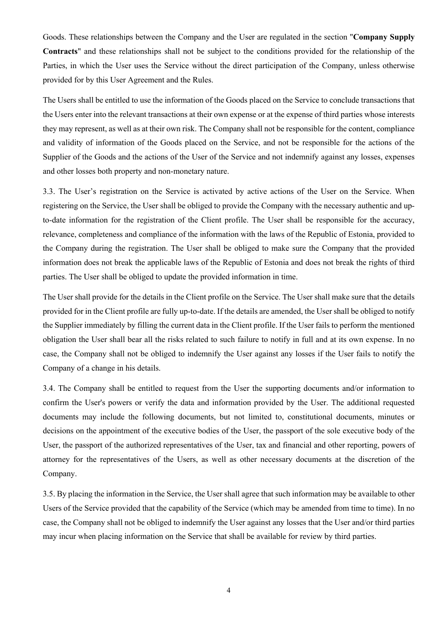Goods. These relationships between the Company and the User are regulated in the section "**Company Supply Contracts**" and these relationships shall not be subject to the conditions provided for the relationship of the Parties, in which the User uses the Service without the direct participation of the Company, unless otherwise provided for by this User Agreement and the Rules.

The Users shall be entitled to use the information of the Goods placed on the Service to conclude transactions that the Users enter into the relevant transactions at their own expense or at the expense of third parties whose interests they may represent, as well as at their own risk. The Company shall not be responsible for the content, compliance and validity of information of the Goods placed on the Service, and not be responsible for the actions of the Supplier of the Goods and the actions of the User of the Service and not indemnify against any losses, expenses and other losses both property and non-monetary nature.

3.3. The User's registration on the Service is activated by active actions of the User on the Service. When registering on the Service, the User shall be obliged to provide the Company with the necessary authentic and upto-date information for the registration of the Client profile. The User shall be responsible for the accuracy, relevance, completeness and compliance of the information with the laws of the Republic of Estonia, provided to the Company during the registration. The User shall be obliged to make sure the Company that the provided information does not break the applicable laws of the Republic of Estonia and does not break the rights of third parties. The User shall be obliged to update the provided information in time.

The User shall provide for the details in the Client profile on the Service. The User shall make sure that the details provided for in the Client profile are fully up-to-date. If the details are amended, the User shall be obliged to notify the Supplier immediately by filling the current data in the Client profile. If the User fails to perform the mentioned obligation the User shall bear all the risks related to such failure to notify in full and at its own expense. In no case, the Company shall not be obliged to indemnify the User against any losses if the User fails to notify the Company of a change in his details.

3.4. The Company shall be entitled to request from the User the supporting documents and/or information to confirm the User's powers or verify the data and information provided by the User. The additional requested documents may include the following documents, but not limited to, constitutional documents, minutes or decisions on the appointment of the executive bodies of the User, the passport of the sole executive body of the User, the passport of the authorized representatives of the User, tax and financial and other reporting, powers of attorney for the representatives of the Users, as well as other necessary documents at the discretion of the Company.

3.5. By placing the information in the Service, the User shall agree that such information may be available to other Users of the Service provided that the capability of the Service (which may be amended from time to time). In no case, the Company shall not be obliged to indemnify the User against any losses that the User and/or third parties may incur when placing information on the Service that shall be available for review by third parties.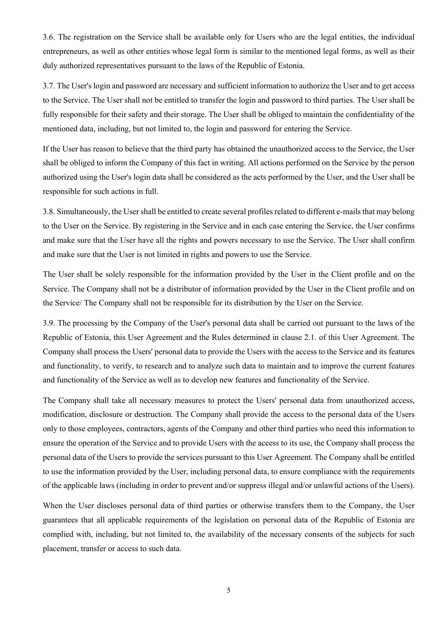3.6. The registration on the Service shall be available only for Users who are the legal entities, the individual entrepreneurs, as well as other entities whose legal form is similar to the mentioned legal forms, as well as their duly authorized representatives pursuant to the laws of the Republic of Estonia.

3.7. The User's login and password are necessary and sufficient information to authorize the User and to get access to the Service. The User shall not be entitled to transfer the login and password to third parties. The User shall be fully responsible for their safety and their storage. The User shall be obliged to maintain the confidentiality of the mentioned data, including, but not limited to, the login and password for entering the Service.

If the User has reason to believe that the third party has obtained the unauthorized access to the Service, the User shall be obliged to inform the Company of this fact in writing. All actions performed on the Service by the person authorized using the User's login data shall be considered as the acts performed by the User, and the User shall be responsible for such actions in full.

3.8. Simultaneously, the User shall be entitled to create several profiles related to different e-mails that may belong to the User on the Service. By registering in the Service and in each case entering the Service, the User confirms and make sure that the User have all the rights and powers necessary to use the Service. The User shall confirm and make sure that the User is not limited in rights and powers to use the Service.

The User shall be solely responsible for the information provided by the User in the Client profile and on the Service. The Company shall not be a distributor of information provided by the User in the Client profile and on the Service/ The Company shall not be responsible for its distribution by the User on the Service.

3.9. The processing by the Company of the User's personal data shall be carried out pursuant to the laws of the Republic of Estonia, this User Agreement and the Rules determined in clause 2.1. of this User Agreement. The Company shall process the Users' personal data to provide the Users with the access to the Service and its features and functionality, to verify, to research and to analyze such data to maintain and to improve the current features and functionality of the Service as well as to develop new features and functionality of the Service.

The Company shall take all necessary measures to protect the Users' personal data from unauthorized access, modification, disclosure or destruction. The Company shall provide the access to the personal data of the Users only to those employees, contractors, agents of the Company and other third parties who need this information to ensure the operation of the Service and to provide Users with the access to its use, the Company shall process the personal data of the Users to provide the services pursuant to this User Agreement. The Company shall be entitled to use the information provided by the User, including personal data, to ensure compliance with the requirements of the applicable laws (including in order to prevent and/or suppress illegal and/or unlawful actions of the Users).

When the User discloses personal data of third parties or otherwise transfers them to the Company, the User guarantees that all applicable requirements of the legislation on personal data of the Republic of Estonia are complied with, including, but not limited to, the availability of the necessary consents of the subjects for such placement, transfer or access to such data.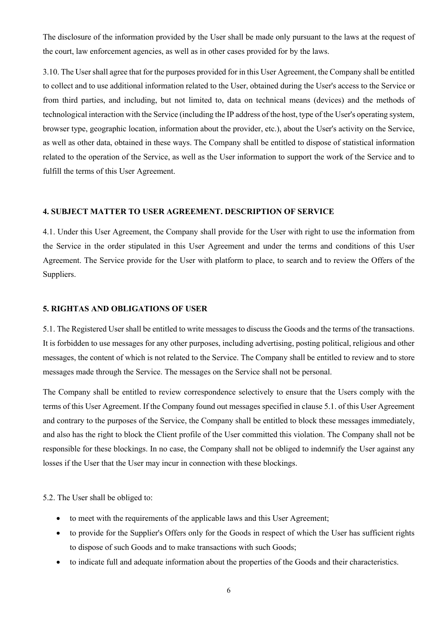The disclosure of the information provided by the User shall be made only pursuant to the laws at the request of the court, law enforcement agencies, as well as in other cases provided for by the laws.

3.10. The User shall agree that for the purposes provided for in this User Agreement, the Company shall be entitled to collect and to use additional information related to the User, obtained during the User's access to the Service or from third parties, and including, but not limited to, data on technical means (devices) and the methods of technological interaction with the Service (including the IP address of the host, type of the User's operating system, browser type, geographic location, information about the provider, etc.), about the User's activity on the Service, as well as other data, obtained in these ways. The Company shall be entitled to dispose of statistical information related to the operation of the Service, as well as the User information to support the work of the Service and to fulfill the terms of this User Agreement.

# **4. SUBJECT MATTER TO USER AGREEMENT. DESCRIPTION OF SERVICE**

4.1. Under this User Agreement, the Company shall provide for the User with right to use the information from the Service in the order stipulated in this User Agreement and under the terms and conditions of this User Agreement. The Service provide for the User with platform to place, to search and to review the Offers of the Suppliers.

## **5. RIGHTAS AND OBLIGATIONS OF USER**

5.1. The Registered User shall be entitled to write messages to discuss the Goods and the terms of the transactions. It is forbidden to use messages for any other purposes, including advertising, posting political, religious and other messages, the content of which is not related to the Service. The Company shall be entitled to review and to store messages made through the Service. The messages on the Service shall not be personal.

The Company shall be entitled to review correspondence selectively to ensure that the Users comply with the terms of this User Agreement. If the Company found out messages specified in clause 5.1. of this User Agreement and contrary to the purposes of the Service, the Company shall be entitled to block these messages immediately, and also has the right to block the Client profile of the User committed this violation. The Company shall not be responsible for these blockings. In no case, the Company shall not be obliged to indemnify the User against any losses if the User that the User may incur in connection with these blockings.

5.2. The User shall be obliged to:

- to meet with the requirements of the applicable laws and this User Agreement;
- to provide for the Supplier's Offers only for the Goods in respect of which the User has sufficient rights to dispose of such Goods and to make transactions with such Goods;
- to indicate full and adequate information about the properties of the Goods and their characteristics.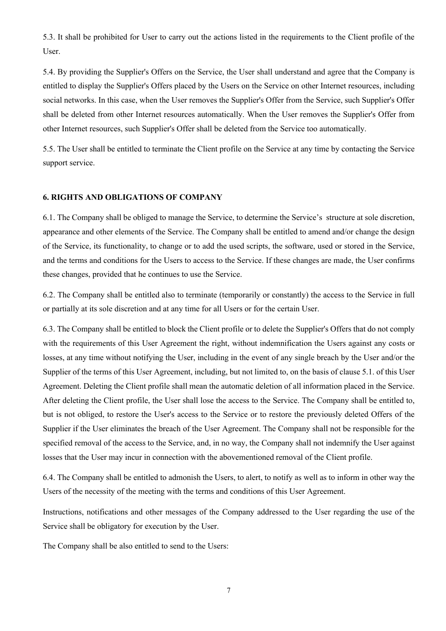5.3. It shall be prohibited for User to carry out the actions listed in the requirements to the Client profile of the User.

5.4. By providing the Supplier's Offers on the Service, the User shall understand and agree that the Company is entitled to display the Supplier's Offers placed by the Users on the Service on other Internet resources, including social networks. In this case, when the User removes the Supplier's Offer from the Service, such Supplier's Offer shall be deleted from other Internet resources automatically. When the User removes the Supplier's Offer from other Internet resources, such Supplier's Offer shall be deleted from the Service too automatically.

5.5. The User shall be entitled to terminate the Client profile on the Service at any time by contacting the Service support service.

# **6. RIGHTS AND OBLIGATIONS OF COMPANY**

6.1. The Company shall be obliged to manage the Service, to determine the Service's structure at sole discretion, appearance and other elements of the Service. The Company shall be entitled to amend and/or change the design of the Service, its functionality, to change or to add the used scripts, the software, used or stored in the Service, and the terms and conditions for the Users to access to the Service. If these changes are made, the User confirms these changes, provided that he continues to use the Service.

6.2. The Company shall be entitled also to terminate (temporarily or constantly) the access to the Service in full or partially at its sole discretion and at any time for all Users or for the certain User.

6.3. The Company shall be entitled to block the Client profile or to delete the Supplier's Offers that do not comply with the requirements of this User Agreement the right, without indemnification the Users against any costs or losses, at any time without notifying the User, including in the event of any single breach by the User and/or the Supplier of the terms of this User Agreement, including, but not limited to, on the basis of clause 5.1. of this User Agreement. Deleting the Client profile shall mean the automatic deletion of all information placed in the Service. After deleting the Client profile, the User shall lose the access to the Service. The Company shall be entitled to, but is not obliged, to restore the User's access to the Service or to restore the previously deleted Offers of the Supplier if the User eliminates the breach of the User Agreement. The Company shall not be responsible for the specified removal of the access to the Service, and, in no way, the Company shall not indemnify the User against losses that the User may incur in connection with the abovementioned removal of the Client profile.

6.4. The Company shall be entitled to admonish the Users, to alert, to notify as well as to inform in other way the Users of the necessity of the meeting with the terms and conditions of this User Agreement.

Instructions, notifications and other messages of the Company addressed to the User regarding the use of the Service shall be obligatory for execution by the User.

The Company shall be also entitled to send to the Users: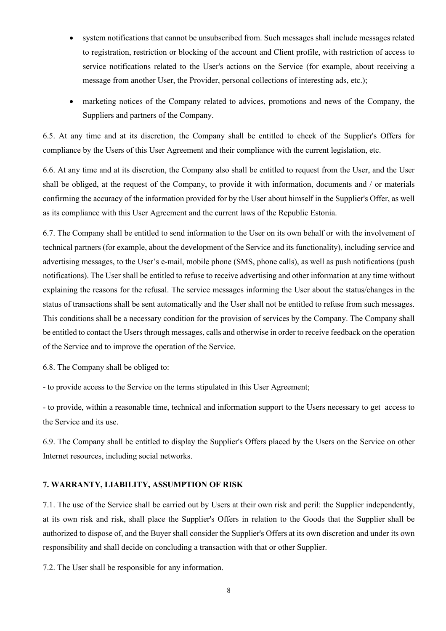- system notifications that cannot be unsubscribed from. Such messages shall include messages related to registration, restriction or blocking of the account and Client profile, with restriction of access to service notifications related to the User's actions on the Service (for example, about receiving a message from another User, the Provider, personal collections of interesting ads, etc.);
- marketing notices of the Company related to advices, promotions and news of the Company, the Suppliers and partners of the Company.

6.5. At any time and at its discretion, the Company shall be entitled to check of the Supplier's Offers for compliance by the Users of this User Agreement and their compliance with the current legislation, etc.

6.6. At any time and at its discretion, the Company also shall be entitled to request from the User, and the User shall be obliged, at the request of the Company, to provide it with information, documents and / or materials confirming the accuracy of the information provided for by the User about himself in the Supplier's Offer, as well as its compliance with this User Agreement and the current laws of the Republic Estonia.

6.7. The Company shall be entitled to send information to the User on its own behalf or with the involvement of technical partners (for example, about the development of the Service and its functionality), including service and advertising messages, to the User's e-mail, mobile phone (SMS, phone calls), as well as push notifications (push notifications). The User shall be entitled to refuse to receive advertising and other information at any time without explaining the reasons for the refusal. The service messages informing the User about the status/changes in the status of transactions shall be sent automatically and the User shall not be entitled to refuse from such messages. This conditions shall be a necessary condition for the provision of services by the Company. The Company shall be entitled to contact the Users through messages, calls and otherwise in order to receive feedback on the operation of the Service and to improve the operation of the Service.

6.8. The Company shall be obliged to:

- to provide access to the Service on the terms stipulated in this User Agreement;

- to provide, within a reasonable time, technical and information support to the Users necessary to get access to the Service and its use.

6.9. The Company shall be entitled to display the Supplier's Offers placed by the Users on the Service on other Internet resources, including social networks.

# **7. WARRANTY, LIABILITY, ASSUMPTION OF RISK**

7.1. The use of the Service shall be carried out by Users at their own risk and peril: the Supplier independently, at its own risk and risk, shall place the Supplier's Offers in relation to the Goods that the Supplier shall be authorized to dispose of, and the Buyer shall consider the Supplier's Offers at its own discretion and under its own responsibility and shall decide on concluding a transaction with that or other Supplier.

7.2. The User shall be responsible for any information.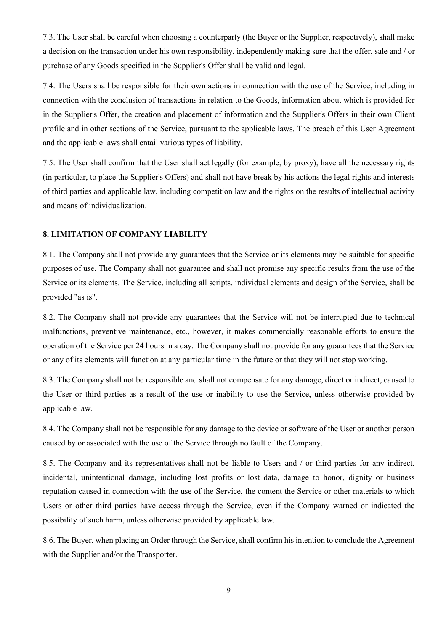7.3. The User shall be careful when choosing a counterparty (the Buyer or the Supplier, respectively), shall make a decision on the transaction under his own responsibility, independently making sure that the offer, sale and / or purchase of any Goods specified in the Supplier's Offer shall be valid and legal.

7.4. The Users shall be responsible for their own actions in connection with the use of the Service, including in connection with the conclusion of transactions in relation to the Goods, information about which is provided for in the Supplier's Offer, the creation and placement of information and the Supplier's Offers in their own Client profile and in other sections of the Service, pursuant to the applicable laws. The breach of this User Agreement and the applicable laws shall entail various types of liability.

7.5. The User shall confirm that the User shall act legally (for example, by proxy), have all the necessary rights (in particular, to place the Supplier's Offers) and shall not have break by his actions the legal rights and interests of third parties and applicable law, including competition law and the rights on the results of intellectual activity and means of individualization.

# **8. LIMITATION OF COMPANY LIABILITY**

8.1. The Company shall not provide any guarantees that the Service or its elements may be suitable for specific purposes of use. The Company shall not guarantee and shall not promise any specific results from the use of the Service or its elements. The Service, including all scripts, individual elements and design of the Service, shall be provided "as is".

8.2. The Company shall not provide any guarantees that the Service will not be interrupted due to technical malfunctions, preventive maintenance, etc., however, it makes commercially reasonable efforts to ensure the operation of the Service per 24 hours in a day. The Company shall not provide for any guarantees that the Service or any of its elements will function at any particular time in the future or that they will not stop working.

8.3. The Company shall not be responsible and shall not compensate for any damage, direct or indirect, caused to the User or third parties as a result of the use or inability to use the Service, unless otherwise provided by applicable law.

8.4. The Company shall not be responsible for any damage to the device or software of the User or another person caused by or associated with the use of the Service through no fault of the Company.

8.5. The Company and its representatives shall not be liable to Users and / or third parties for any indirect, incidental, unintentional damage, including lost profits or lost data, damage to honor, dignity or business reputation caused in connection with the use of the Service, the content the Service or other materials to which Users or other third parties have access through the Service, even if the Company warned or indicated the possibility of such harm, unless otherwise provided by applicable law.

8.6. The Buyer, when placing an Order through the Service, shall confirm his intention to conclude the Agreement with the Supplier and/or the Transporter.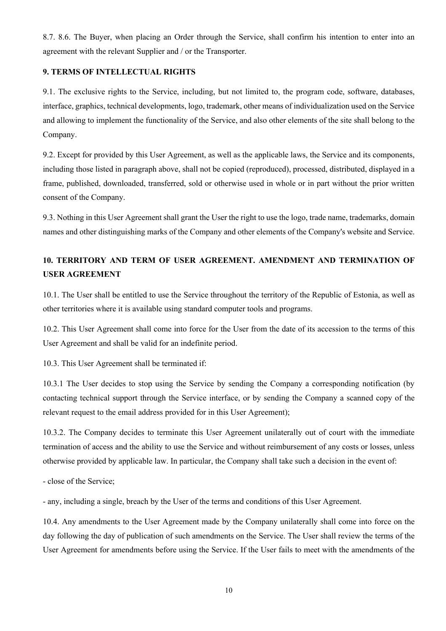8.7. 8.6. The Buyer, when placing an Order through the Service, shall confirm his intention to enter into an agreement with the relevant Supplier and / or the Transporter.

# **9. TERMS OF INTELLECTUAL RIGHTS**

9.1. The exclusive rights to the Service, including, but not limited to, the program code, software, databases, interface, graphics, technical developments, logo, trademark, other means of individualization used on the Service and allowing to implement the functionality of the Service, and also other elements of the site shall belong to the Company.

9.2. Except for provided by this User Agreement, as well as the applicable laws, the Service and its components, including those listed in paragraph above, shall not be copied (reproduced), processed, distributed, displayed in a frame, published, downloaded, transferred, sold or otherwise used in whole or in part without the prior written consent of the Company.

9.3. Nothing in this User Agreement shall grant the User the right to use the logo, trade name, trademarks, domain names and other distinguishing marks of the Company and other elements of the Company's website and Service.

# **10. TERRITORY AND TERM OF USER AGREEMENT. AMENDMENT AND TERMINATION OF USER AGREEMENT**

10.1. The User shall be entitled to use the Service throughout the territory of the Republic of Estonia, as well as other territories where it is available using standard computer tools and programs.

10.2. This User Agreement shall come into force for the User from the date of its accession to the terms of this User Agreement and shall be valid for an indefinite period.

10.3. This User Agreement shall be terminated if:

10.3.1 The User decides to stop using the Service by sending the Company a corresponding notification (by contacting technical support through the Service interface, or by sending the Company a scanned copy of the relevant request to the email address provided for in this User Agreement);

10.3.2. The Company decides to terminate this User Agreement unilaterally out of court with the immediate termination of access and the ability to use the Service and without reimbursement of any costs or losses, unless otherwise provided by applicable law. In particular, the Company shall take such a decision in the event of:

- close of the Service;

- any, including a single, breach by the User of the terms and conditions of this User Agreement.

10.4. Any amendments to the User Agreement made by the Company unilaterally shall come into force on the day following the day of publication of such amendments on the Service. The User shall review the terms of the User Agreement for amendments before using the Service. If the User fails to meet with the amendments of the